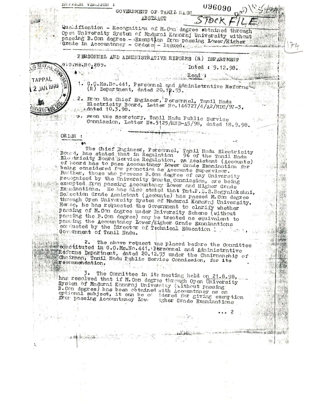EN FRANCIS INTERNATION 096090 GOVERNMENT OF TAMIL RADI ABSTRACT  $ST$ *DCK* Quandfication - Recognition of M. Com degree obtained through Open University System of Madurai Kamaraj University without phasing B. Com degree - Exemption from passing Lower/Higher Grade in Accountancy - Orders - Issued. PERSONNEL AND ADMINISTRATIVE REFORMS (R) DEPARTMENT G.O.MS.NO.289. Dated: 9.12.98.  $\mathcal{X}$ Read: TAPPAL G.Q.Ms. No. 441, Personnel and Administrative Reforms **JAN 1999**  $(R)$  Department, dated 20,  $\sqrt{2.93}$ . 2. From the Chief Engineer, Personnel, Tamil Hadu<br>Electricity Board, Letter No. 146727/4/A2/MDC/97-3, Adated  $10.3.98$ . reen the Secretary, Tanil Nadu Public Service<br>Commission, Letter No.5125/RND-A5/98, dated 18,9.98. OR LER : The Chief Ingineer, Personnel, Tonil Modu Electricity<br>Bound, hos stated that in Regulation 96 of the Tanil Modu<br>Electricity Board Service Regulation, an Assistant (Accounts)<br>of Board has to pass Accountage Lower Grade Exam Further, those who possess B. Con degree of any University recognized by the University Grants Commission, are being exempted from passing Accountancy Lower and Higher Grade<br>Examinations. He has also stated that Trit.P.S.S.Bagyalakshmi, Selection Grade Assistant (Accounts) has passed M. Con degree through Open University System of Madural Kamaraj University. Herce, he has requested the Government to clarify whether<br>passing of M.Com degree under University Schene (without passing the B.Com degree) may be treated as equivalent to passing the Accountancy Lower/Higher Grade Examinations conducted by the birector of Technical Education : 2. The above request was placed before the Countities Referns Department, dated 20.12.93 under the Chairmanghip of Chrirman, Torill Nadu Public Service Connission, for its recommendation. 3. The Committee in its meeting held on 21.8.98, has resolved that if M. Com degree through Open University System of Madurai Kamaraj University (without passing<br>B.Com degree) has been obtained with Accountancy as an optional subject, it can be of idered for giving exemption<br>from passing Accountancy Lower igher Grade Examination